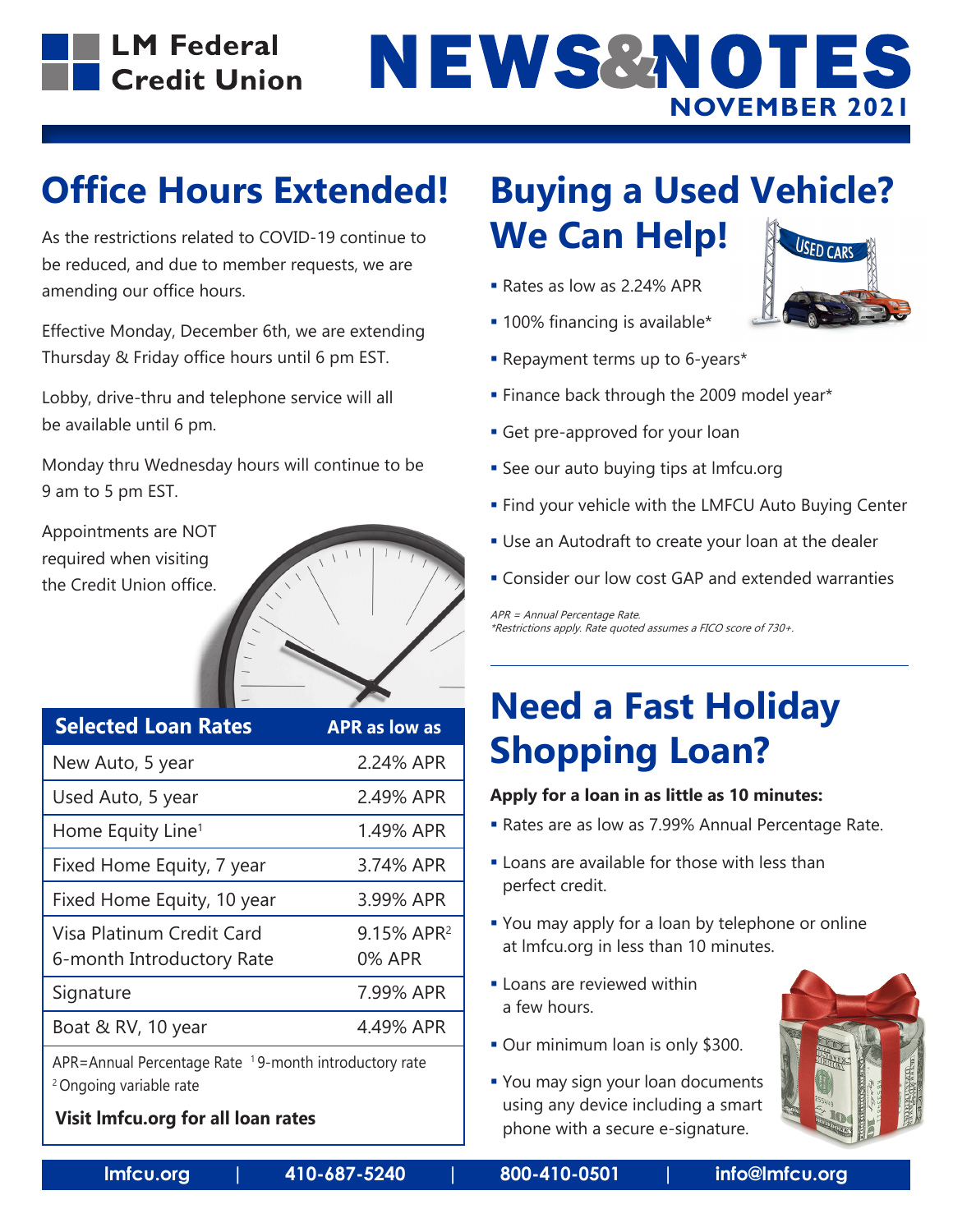

# NEWS&NOTES **NOVEMBER 2021**

## **Office Hours Extended!**

As the restrictions related to COVID-19 continue to be reduced, and due to member requests, we are amending our office hours.

Effective Monday, December 6th, we are extending Thursday & Friday office hours until 6 pm EST.

Lobby, drive-thru and telephone service will all be available until 6 pm.

Monday thru Wednesday hours will continue to be 9 am to 5 pm EST.

Appointments are NOT required when visiting the Credit Union office.

| <b>Selected Loan Rates</b>                             | <b>APR as low as</b>                    |
|--------------------------------------------------------|-----------------------------------------|
| New Auto, 5 year                                       | 2.24% APR                               |
| Used Auto, 5 year                                      | 2.49% APR                               |
| Home Equity Line <sup>1</sup>                          | 1.49% APR                               |
| Fixed Home Equity, 7 year                              | 3.74% APR                               |
| Fixed Home Equity, 10 year                             | 3.99% APR                               |
| Visa Platinum Credit Card<br>6-month Introductory Rate | 9.15% APR <sup>2</sup><br><b>0% APR</b> |
| Signature                                              | 7.99% APR                               |
| Boat & RV, 10 year                                     | 4.49% APR                               |
| APR=Annual Percentage Rate 19-month introductory rate  |                                         |

2 Ongoing variable rate

#### **Visit lmfcu.org for all loan rates**

#### **Buying a Used Vehicle? We Can Help!**

- Rates as low as 2.24% APR
- **100% financing is available\***
- Repayment terms up to 6-years\*
- **Finance back through the 2009 model year\***
- Get pre-approved for your loan
- **See our auto buying tips at Imfcu.org**
- **Find your vehicle with the LMFCU Auto Buying Center**
- Use an Autodraft to create your loan at the dealer
- Consider our low cost GAP and extended warranties

APR = Annual Percentage Rate. \*Restrictions apply. Rate quoted assumes a FICO score of 730+.

## **Need a Fast Holiday Shopping Loan?**

#### **Apply for a loan in as little as 10 minutes:**

- Rates are as low as 7.99% Annual Percentage Rate.
- **Loans are available for those with less than** perfect credit.
- You may apply for a loan by telephone or online at lmfcu.org in less than 10 minutes.
- **Loans are reviewed within** a few hours.
- Our minimum loan is only \$300.
- **You may sign your loan documents** using any device including a smart phone with a secure e-signature.



**lmfcu.org | 410-687-5240 | 800-410-0501 | info@lmfcu.org**